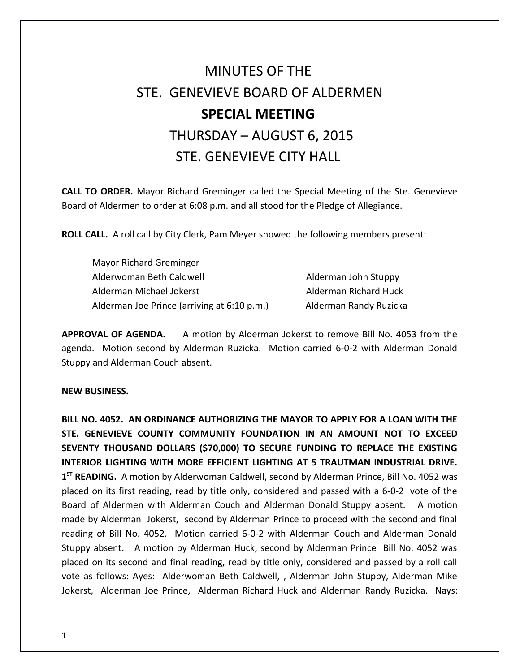## MINUTES OF THE STE. GENEVIEVE BOARD OF ALDERMEN **SPECIAL MEETING**  THURSDAY – AUGUST 6, 2015 STE. GENEVIEVE CITY HALL

**CALL TO ORDER.** Mayor Richard Greminger called the Special Meeting of the Ste. Genevieve Board of Aldermen to order at 6:08 p.m. and all stood for the Pledge of Allegiance.

**ROLL CALL.** A roll call by City Clerk, Pam Meyer showed the following members present:

| Mayor Richard Greminger                     |                        |
|---------------------------------------------|------------------------|
| Alderwoman Beth Caldwell                    | Alderman John Stuppy   |
| Alderman Michael Jokerst                    | Alderman Richard Huck  |
| Alderman Joe Prince (arriving at 6:10 p.m.) | Alderman Randy Ruzicka |

**APPROVAL OF AGENDA.** A motion by Alderman Jokerst to remove Bill No. 4053 from the agenda. Motion second by Alderman Ruzicka. Motion carried 6-0-2 with Alderman Donald Stuppy and Alderman Couch absent.

## **NEW BUSINESS.**

**BILL NO. 4052. AN ORDINANCE AUTHORIZING THE MAYOR TO APPLY FOR A LOAN WITH THE STE. GENEVIEVE COUNTY COMMUNITY FOUNDATION IN AN AMOUNT NOT TO EXCEED SEVENTY THOUSAND DOLLARS (\$70,000) TO SECURE FUNDING TO REPLACE THE EXISTING INTERIOR LIGHTING WITH MORE EFFICIENT LIGHTING AT 5 TRAUTMAN INDUSTRIAL DRIVE. 1 ST READING.** A motion by Alderwoman Caldwell, second by Alderman Prince, Bill No. 4052 was placed on its first reading, read by title only, considered and passed with a 6-0-2 vote of the Board of Aldermen with Alderman Couch and Alderman Donald Stuppy absent. A motion made by Alderman Jokerst, second by Alderman Prince to proceed with the second and final reading of Bill No. 4052. Motion carried 6-0-2 with Alderman Couch and Alderman Donald Stuppy absent. A motion by Alderman Huck, second by Alderman Prince Bill No. 4052 was placed on its second and final reading, read by title only, considered and passed by a roll call vote as follows: Ayes: Alderwoman Beth Caldwell, , Alderman John Stuppy, Alderman Mike Jokerst, Alderman Joe Prince, Alderman Richard Huck and Alderman Randy Ruzicka. Nays: